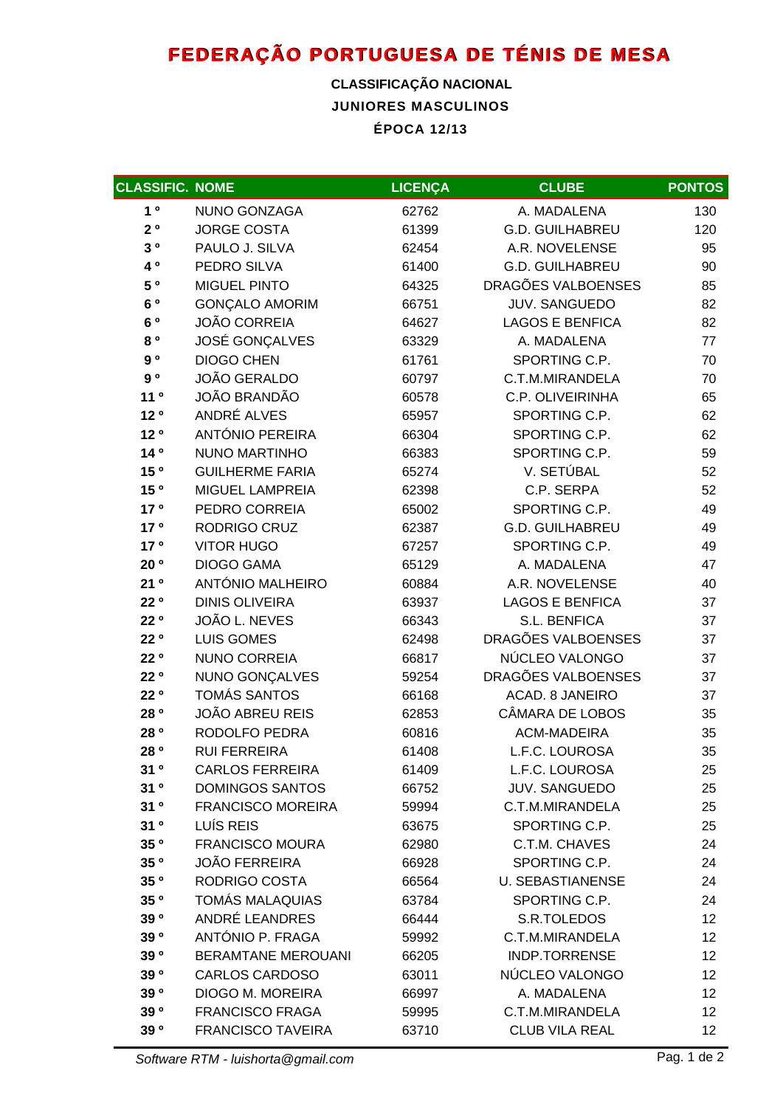## **FEDERAÇÃO PORTUGUESA DE TÉNIS DE MESA**

## **JUNIORES MASCULINOS ÉPOCA 12/13 CLASSIFICAÇÃO NACIONAL**

| <b>CLASSIFIC. NOME</b> |                           | <b>LICENÇA</b> | <b>CLUBE</b>            | <b>PONTOS</b>     |
|------------------------|---------------------------|----------------|-------------------------|-------------------|
| 1 <sup>0</sup>         | NUNO GONZAGA              | 62762          | A. MADALENA             | 130               |
| $2^o$                  | <b>JORGE COSTA</b>        | 61399          | <b>G.D. GUILHABREU</b>  | 120               |
| $3^o$                  | PAULO J. SILVA            | 62454          | A.R. NOVELENSE          | 95                |
| 40                     | PEDRO SILVA               | 61400          | <b>G.D. GUILHABREU</b>  | 90                |
| 50                     | <b>MIGUEL PINTO</b>       | 64325          | DRAGÕES VALBOENSES      | 85                |
| 6 °                    | <b>GONÇALO AMORIM</b>     | 66751          | <b>JUV. SANGUEDO</b>    | 82                |
| 6 °                    | <b>JOÃO CORREIA</b>       | 64627          | <b>LAGOS E BENFICA</b>  | 82                |
| 80                     | JOSÉ GONÇALVES            | 63329          | A. MADALENA             | 77                |
| 9 <sup>o</sup>         | <b>DIOGO CHEN</b>         | 61761          | SPORTING C.P.           | 70                |
| $9^o$                  | <b>JOÃO GERALDO</b>       | 60797          | C.T.M.MIRANDELA         | 70                |
| 11 <sup>0</sup>        | <b>JOÃO BRANDÃO</b>       | 60578          | C.P. OLIVEIRINHA        | 65                |
| 12 <sup>o</sup>        | ANDRÉ ALVES               | 65957          | SPORTING C.P.           | 62                |
| 12 <sup>o</sup>        | <b>ANTÓNIO PEREIRA</b>    | 66304          | SPORTING C.P.           | 62                |
| 140                    | <b>NUNO MARTINHO</b>      | 66383          | SPORTING C.P.           | 59                |
| 15 °                   | <b>GUILHERME FARIA</b>    | 65274          | V. SETÚBAL              | 52                |
| 15 <sup>o</sup>        | MIGUEL LAMPREIA           | 62398          | C.P. SERPA              | 52                |
| 17 <sup>o</sup>        | PEDRO CORREIA             | 65002          | SPORTING C.P.           | 49                |
| 17 <sup>o</sup>        | RODRIGO CRUZ              | 62387          | <b>G.D. GUILHABREU</b>  | 49                |
| 17 <sup>o</sup>        | <b>VITOR HUGO</b>         | 67257          | SPORTING C.P.           | 49                |
| 20 <sup>o</sup>        | <b>DIOGO GAMA</b>         | 65129          | A. MADALENA             | 47                |
| 21°                    | ANTÓNIO MALHEIRO          | 60884          | A.R. NOVELENSE          | 40                |
| 22 <sup>o</sup>        | <b>DINIS OLIVEIRA</b>     | 63937          | <b>LAGOS E BENFICA</b>  | 37                |
| 22 <sup>o</sup>        | JOÃO L. NEVES             | 66343          | S.L. BENFICA            | 37                |
| 22 °                   | <b>LUIS GOMES</b>         | 62498          | DRAGÕES VALBOENSES      | 37                |
| 22 °                   | <b>NUNO CORREIA</b>       | 66817          | NÚCLEO VALONGO          | 37                |
| 22 <sup>o</sup>        | NUNO GONÇALVES            | 59254          | DRAGÕES VALBOENSES      | 37                |
| 22 <sup>o</sup>        | <b>TOMÁS SANTOS</b>       | 66168          | ACAD. 8 JANEIRO         | 37                |
| 28 °                   | <b>JOÃO ABREU REIS</b>    | 62853          | CÂMARA DE LOBOS         | 35                |
| 28 °                   | RODOLFO PEDRA             | 60816          | <b>ACM-MADEIRA</b>      | 35                |
| 28 <sup>o</sup>        | <b>RUI FERREIRA</b>       | 61408          | L.F.C. LOUROSA          | 35                |
| 31°                    | <b>CARLOS FERREIRA</b>    | 61409          | L.F.C. LOUROSA          | 25                |
| 31 <sup>o</sup>        | <b>DOMINGOS SANTOS</b>    | 66752          | <b>JUV. SANGUEDO</b>    | 25                |
| 31°                    | <b>FRANCISCO MOREIRA</b>  | 59994          | C.T.M.MIRANDELA         | 25                |
| 31 <sup>o</sup>        | LUÍS REIS                 | 63675          | SPORTING C.P.           | 25                |
| 35 °                   | <b>FRANCISCO MOURA</b>    | 62980          | C.T.M. CHAVES           | 24                |
| 35 °                   | <b>JOÃO FERREIRA</b>      | 66928          | SPORTING C.P.           | 24                |
| 35 <sup>o</sup>        | RODRIGO COSTA             | 66564          | <b>U. SEBASTIANENSE</b> | 24                |
| 35 °                   | <b>TOMÁS MALAQUIAS</b>    | 63784          | SPORTING C.P.           | 24                |
| 390                    | ANDRÉ LEANDRES            | 66444          | S.R.TOLEDOS             | 12                |
| 390                    | ANTÓNIO P. FRAGA          | 59992          | C.T.M.MIRANDELA         | $12 \overline{ }$ |
| 390                    | <b>BERAMTANE MEROUANI</b> | 66205          | <b>INDP.TORRENSE</b>    | 12                |
| 39 <sup>o</sup>        | <b>CARLOS CARDOSO</b>     | 63011          | NÚCLEO VALONGO          | $12 \overline{ }$ |
| 39 °                   | DIOGO M. MOREIRA          | 66997          | A. MADALENA             | $12 \overline{ }$ |
| 390                    | <b>FRANCISCO FRAGA</b>    | 59995          | C.T.M.MIRANDELA         | 12                |
| 39 <sup>o</sup>        | <b>FRANCISCO TAVEIRA</b>  | 63710          | <b>CLUB VILA REAL</b>   | 12                |